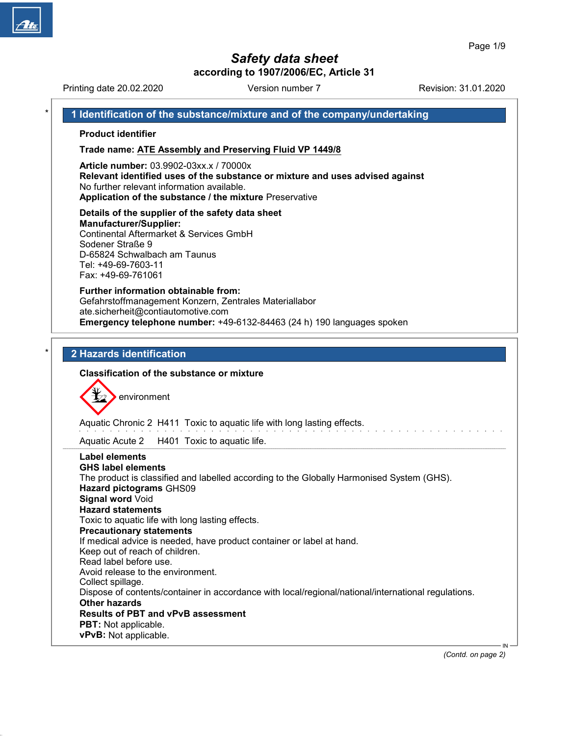# Safety data sheet

according to 1907/2006/EC, Article 31 Printing date 20.02.2020 **Revision: 31.01.2020** Version number 7 Revision: 31.01.2020 1 Identification of the substance/mixture and of the company/undertaking Product identifier Trade name: ATE Assembly and Preserving Fluid VP 1449/8 Article number: 03.9902-03xx.x / 70000x Relevant identified uses of the substance or mixture and uses advised against No further relevant information available. Application of the substance / the mixture Preservative Details of the supplier of the safety data sheet Manufacturer/Supplier: Continental Aftermarket & Services GmbH Sodener Straße 9 D-65824 Schwalbach am Taunus Tel: +49-69-7603-11 Fax: +49-69-761061 Further information obtainable from: Gefahrstoffmanagement Konzern, Zentrales Materiallabor ate.sicherheit@contiautomotive.com Emergency telephone number: +49-6132-84463 (24 h) 190 languages spoken 2 Hazards identification Classification of the substance or mixture environment Aquatic Chronic 2 H411 Toxic to aquatic life with long lasting effects. Aquatic Acute 2 H401 Toxic to aquatic life. Label elements GHS label elements The product is classified and labelled according to the Globally Harmonised System (GHS). Hazard pictograms GHS09 Signal word Void Hazard statements Toxic to aquatic life with long lasting effects. Precautionary statements If medical advice is needed, have product container or label at hand. Keep out of reach of children. Read label before use. Avoid release to the environment. Collect spillage. Dispose of contents/container in accordance with local/regional/national/international regulations. Other hazards Results of PBT and vPvB assessment PBT: Not applicable. vPvB: Not applicable. IN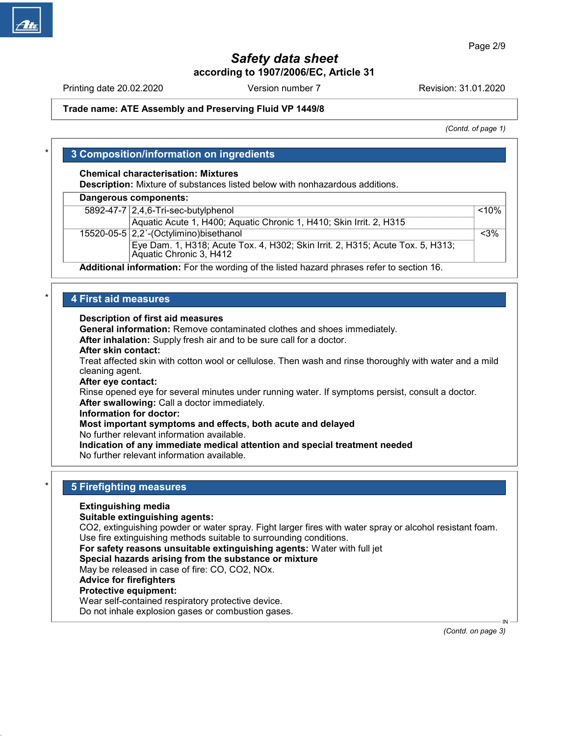Printing date 20.02.2020 **Revision: 31.01.2020** Version number 7 Revision: 31.01.2020

### Trade name: ATE Assembly and Preserving Fluid VP 1449/8

(Contd. of page 1)

# 3 Composition/information on ingredients

### Chemical characterisation: Mixtures

Description: Mixture of substances listed below with nonhazardous additions.

### Dangerous components:

| 5892-47-7 2,4,6-Tri-sec-butylphenol                                                                       | $< 10\%$ |
|-----------------------------------------------------------------------------------------------------------|----------|
| Aquatic Acute 1, H400; Aquatic Chronic 1, H410; Skin Irrit. 2, H315                                       |          |
| 15520-05-5 $ 2,2$ '-(Octylimino) bisethanol                                                               | $<$ 3%   |
| Eye Dam. 1, H318; Acute Tox. 4, H302; Skin Irrit. 2, H315; Acute Tox. 5, H313;<br>Aquatic Chronic 3, H412 |          |
|                                                                                                           |          |

Additional information: For the wording of the listed hazard phrases refer to section 16.

# 4 First aid measures

### Description of first aid measures

General information: Remove contaminated clothes and shoes immediately.

After inhalation: Supply fresh air and to be sure call for a doctor.

#### After skin contact:

Treat affected skin with cotton wool or cellulose. Then wash and rinse thoroughly with water and a mild cleaning agent.

#### After eye contact:

Rinse opened eye for several minutes under running water. If symptoms persist, consult a doctor. After swallowing: Call a doctor immediately.

#### Information for doctor:

### Most important symptoms and effects, both acute and delayed

No further relevant information available.

# Indication of any immediate medical attention and special treatment needed

No further relevant information available.

# **5 Firefighting measures**

### Extinguishing media

#### Suitable extinguishing agents:

CO2, extinguishing powder or water spray. Fight larger fires with water spray or alcohol resistant foam. Use fire extinguishing methods suitable to surrounding conditions.

For safety reasons unsuitable extinguishing agents: Water with full jet

### Special hazards arising from the substance or mixture

May be released in case of fire: CO, CO2, NOx.

#### Advice for firefighters

### Protective equipment:

50.0.1

Wear self-contained respiratory protective device.

Do not inhale explosion gases or combustion gases.

 IN (Contd. on page 3)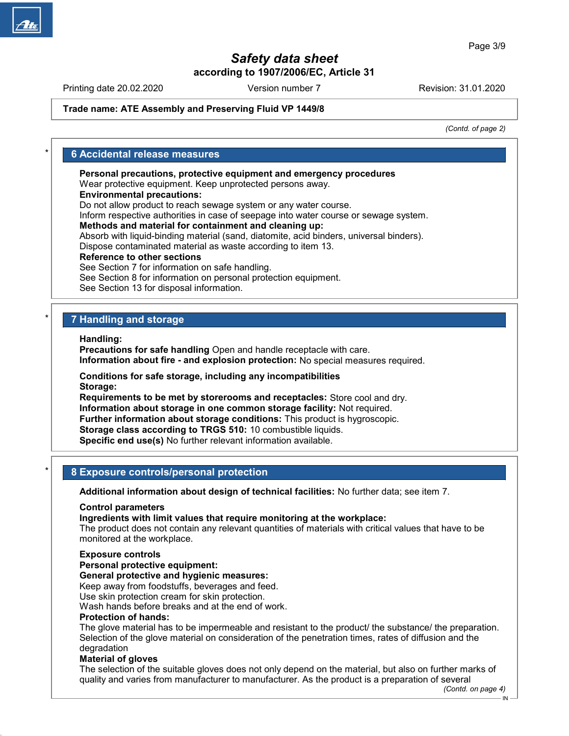Printing date 20.02.2020 **Revision: 31.01.2020** Version number 7 Revision: 31.01.2020

## Trade name: ATE Assembly and Preserving Fluid VP 1449/8

(Contd. of page 2)

# **6 Accidental release measures**

Personal precautions, protective equipment and emergency procedures

Wear protective equipment. Keep unprotected persons away.

Environmental precautions:

Do not allow product to reach sewage system or any water course.

Inform respective authorities in case of seepage into water course or sewage system.

### Methods and material for containment and cleaning up:

Absorb with liquid-binding material (sand, diatomite, acid binders, universal binders). Dispose contaminated material as waste according to item 13.

### Reference to other sections

See Section 7 for information on safe handling.

See Section 8 for information on personal protection equipment.

See Section 13 for disposal information.

# 7 Handling and storage

Handling:

Precautions for safe handling Open and handle receptacle with care. Information about fire - and explosion protection: No special measures required.

Conditions for safe storage, including any incompatibilities Storage:

Requirements to be met by storerooms and receptacles: Store cool and dry. Information about storage in one common storage facility: Not required. Further information about storage conditions: This product is hygroscopic. Storage class according to TRGS 510: 10 combustible liquids. Specific end use(s) No further relevant information available.

# 8 Exposure controls/personal protection

Additional information about design of technical facilities: No further data; see item 7.

#### Control parameters

Ingredients with limit values that require monitoring at the workplace:

The product does not contain any relevant quantities of materials with critical values that have to be monitored at the workplace.

#### Exposure controls

Personal protective equipment:

#### General protective and hygienic measures:

Keep away from foodstuffs, beverages and feed.

Use skin protection cream for skin protection.

Wash hands before breaks and at the end of work.

### Protection of hands:

The glove material has to be impermeable and resistant to the product/ the substance/ the preparation. Selection of the glove material on consideration of the penetration times, rates of diffusion and the degradation

#### Material of gloves

50.0.1

The selection of the suitable gloves does not only depend on the material, but also on further marks of quality and varies from manufacturer to manufacturer. As the product is a preparation of several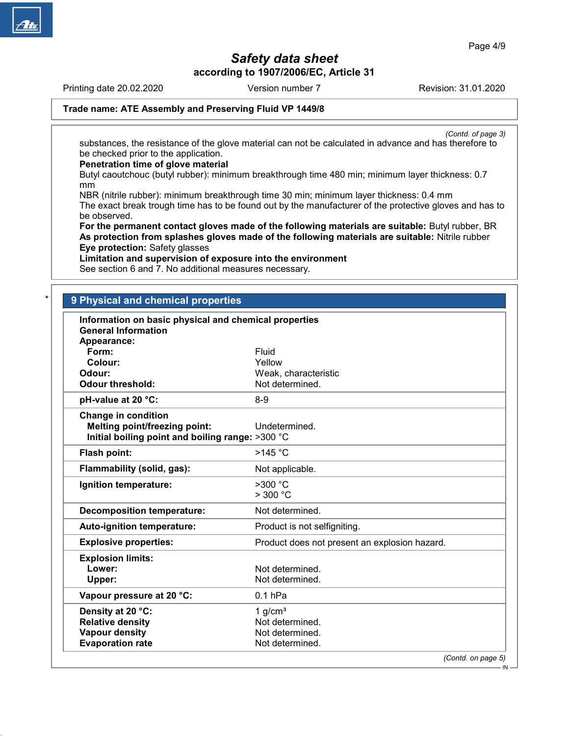Printing date 20.02.2020 **Revision: 31.01.2020** Version number 7 Revision: 31.01.2020

# Trade name: ATE Assembly and Preserving Fluid VP 1449/8

(Contd. of page 3) substances, the resistance of the glove material can not be calculated in advance and has therefore to be checked prior to the application.

### Penetration time of glove material

Butyl caoutchouc (butyl rubber): minimum breakthrough time 480 min; minimum layer thickness: 0.7 mm

NBR (nitrile rubber): minimum breakthrough time 30 min; minimum layer thickness: 0.4 mm The exact break trough time has to be found out by the manufacturer of the protective gloves and has to be observed.

For the permanent contact gloves made of the following materials are suitable: Butyl rubber, BR As protection from splashes gloves made of the following materials are suitable: Nitrile rubber Eye protection: Safety glasses

## Limitation and supervision of exposure into the environment

See section 6 and 7. No additional measures necessary.

# 9 Physical and chemical properties

| Information on basic physical and chemical properties<br><b>General Information</b> |                                               |  |
|-------------------------------------------------------------------------------------|-----------------------------------------------|--|
| Appearance:                                                                         |                                               |  |
| Form:                                                                               | Fluid                                         |  |
| Colour:<br>Odour:                                                                   | Yellow                                        |  |
|                                                                                     | Weak, characteristic                          |  |
| <b>Odour threshold:</b>                                                             | Not determined.                               |  |
| pH-value at 20 °C:                                                                  | $8 - 9$                                       |  |
| <b>Change in condition</b>                                                          |                                               |  |
| <b>Melting point/freezing point:</b>                                                | Undetermined.                                 |  |
| Initial boiling point and boiling range: >300 °C                                    |                                               |  |
| Flash point:                                                                        | $>145$ °C                                     |  |
| Flammability (solid, gas):                                                          | Not applicable.                               |  |
| Ignition temperature:                                                               | $>300$ °C                                     |  |
|                                                                                     | $>$ 300 $^{\circ}$ C                          |  |
| <b>Decomposition temperature:</b>                                                   | Not determined.                               |  |
| Auto-ignition temperature:                                                          | Product is not selfigniting.                  |  |
| <b>Explosive properties:</b>                                                        | Product does not present an explosion hazard. |  |
| <b>Explosion limits:</b>                                                            |                                               |  |
| Lower:                                                                              | Not determined.                               |  |
| Upper:                                                                              | Not determined.                               |  |
| Vapour pressure at 20 °C:                                                           | $0.1$ hPa                                     |  |
| Density at 20 °C:                                                                   | 1 $g/cm3$                                     |  |
| <b>Relative density</b>                                                             | Not determined.                               |  |
| <b>Vapour density</b>                                                               | Not determined.                               |  |
| <b>Evaporation rate</b>                                                             | Not determined.                               |  |
|                                                                                     | (Contd. on page 5)                            |  |
|                                                                                     | $IN -$                                        |  |

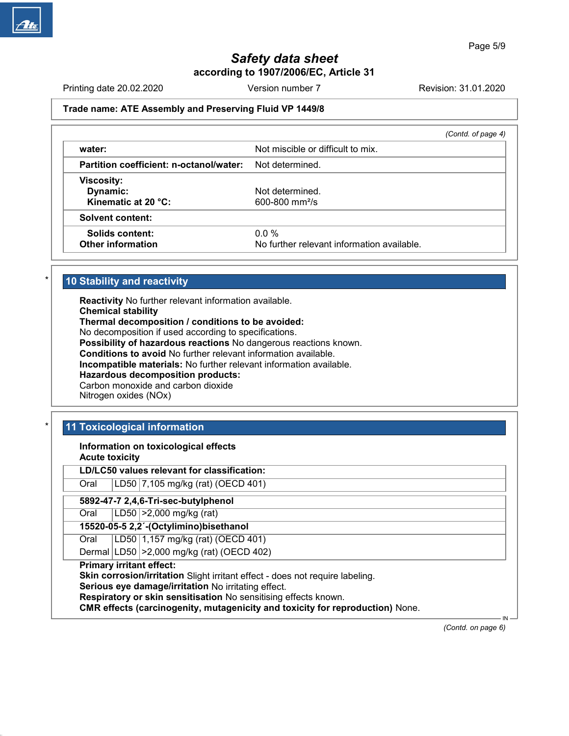Printing date 20.02.2020 **Revision: 31.01.2020** Version number 7 Revision: 31.01.2020

# Trade name: ATE Assembly and Preserving Fluid VP 1449/8

|                                            | (Contd. of page 4) |
|--------------------------------------------|--------------------|
| Not miscible or difficult to mix.          |                    |
| Not determined.                            |                    |
|                                            |                    |
| Not determined.                            |                    |
| $600 - 800$ mm <sup>2</sup> /s             |                    |
|                                            |                    |
| $0.0\%$                                    |                    |
| No further relevant information available. |                    |
|                                            |                    |

# 10 Stability and reactivity

Reactivity No further relevant information available. Chemical stability Thermal decomposition / conditions to be avoided: No decomposition if used according to specifications. Possibility of hazardous reactions No dangerous reactions known. Conditions to avoid No further relevant information available. Incompatible materials: No further relevant information available. Hazardous decomposition products: Carbon monoxide and carbon dioxide Nitrogen oxides (NOx)

# 11 Toxicological information

Information on toxicological effects

Acute toxicity

LD/LC50 values relevant for classification:

Oral LD50 7,105 mg/kg (rat) (OECD 401)

5892-47-7 2,4,6-Tri-sec-butylphenol

Oral LD50 >2,000 mg/kg (rat)

15520-05-5 2,2´-(Octylimino)bisethanol

Oral | LD50 | 1,157 mg/kg (rat) (OECD 401)

Dermal LD50 >2,000 mg/kg (rat) (OECD 402)

Primary irritant effect:

50.0.1

Skin corrosion/irritation Slight irritant effect - does not require labeling.

Serious eye damage/irritation No irritating effect.

Respiratory or skin sensitisation No sensitising effects known.

CMR effects (carcinogenity, mutagenicity and toxicity for reproduction) None.

(Contd. on page 6)

IN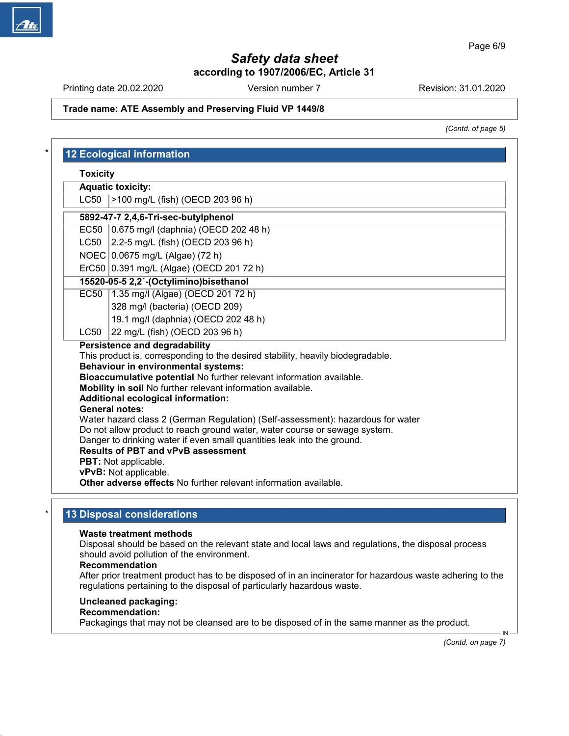Printing date 20.02.2020 **Revision: 31.01.2020** Version number 7 Revision: 31.01.2020

# Trade name: ATE Assembly and Preserving Fluid VP 1449/8

(Contd. of page 5)

| <b>Toxicity</b> |                                                                                                                                                                                                                                                                                                                                                                                                                                                                                                                                                                                                                         |
|-----------------|-------------------------------------------------------------------------------------------------------------------------------------------------------------------------------------------------------------------------------------------------------------------------------------------------------------------------------------------------------------------------------------------------------------------------------------------------------------------------------------------------------------------------------------------------------------------------------------------------------------------------|
|                 | <b>Aquatic toxicity:</b>                                                                                                                                                                                                                                                                                                                                                                                                                                                                                                                                                                                                |
| <b>LC50</b>     | >100 mg/L (fish) (OECD 203 96 h)                                                                                                                                                                                                                                                                                                                                                                                                                                                                                                                                                                                        |
|                 | 5892-47-7 2,4,6-Tri-sec-butylphenol                                                                                                                                                                                                                                                                                                                                                                                                                                                                                                                                                                                     |
|                 | EC50 0.675 mg/l (daphnia) (OECD 202 48 h)                                                                                                                                                                                                                                                                                                                                                                                                                                                                                                                                                                               |
|                 | LC50 2.2-5 mg/L (fish) (OECD 203 96 h)                                                                                                                                                                                                                                                                                                                                                                                                                                                                                                                                                                                  |
|                 | NOEC 0.0675 mg/L (Algae) (72 h)                                                                                                                                                                                                                                                                                                                                                                                                                                                                                                                                                                                         |
|                 | ErC50 0.391 mg/L (Algae) (OECD 201 72 h)                                                                                                                                                                                                                                                                                                                                                                                                                                                                                                                                                                                |
|                 | 15520-05-5 2,2'-(Octylimino)bisethanol                                                                                                                                                                                                                                                                                                                                                                                                                                                                                                                                                                                  |
| EC50            | 1.35 mg/l (Algae) (OECD 201 72 h)                                                                                                                                                                                                                                                                                                                                                                                                                                                                                                                                                                                       |
|                 | 328 mg/l (bacteria) (OECD 209)                                                                                                                                                                                                                                                                                                                                                                                                                                                                                                                                                                                          |
|                 | 19.1 mg/l (daphnia) (OECD 202 48 h)                                                                                                                                                                                                                                                                                                                                                                                                                                                                                                                                                                                     |
| LC50            | 22 mg/L (fish) (OECD 203 96 h)                                                                                                                                                                                                                                                                                                                                                                                                                                                                                                                                                                                          |
|                 | Persistence and degradability<br>This product is, corresponding to the desired stability, heavily biodegradable.<br><b>Behaviour in environmental systems:</b><br>Bioaccumulative potential No further relevant information available.<br>Mobility in soil No further relevant information available.<br><b>Additional ecological information:</b><br><b>General notes:</b><br>Water hazard class 2 (German Regulation) (Self-assessment): hazardous for water<br>Do not allow product to reach ground water, water course or sewage system.<br>Danger to drinking water if even small quantities leak into the ground. |
|                 | <b>Results of PBT and vPvB assessment</b><br><b>PBT:</b> Not applicable.<br>vPvB: Not applicable.                                                                                                                                                                                                                                                                                                                                                                                                                                                                                                                       |

# 13 Disposal considerations

#### Waste treatment methods

Disposal should be based on the relevant state and local laws and regulations, the disposal process should avoid pollution of the environment.

#### Recommendation

After prior treatment product has to be disposed of in an incinerator for hazardous waste adhering to the regulations pertaining to the disposal of particularly hazardous waste.

### Uncleaned packaging:

# Recommendation:

50.0.1

Packagings that may not be cleansed are to be disposed of in the same manner as the product.

(Contd. on page 7)

IN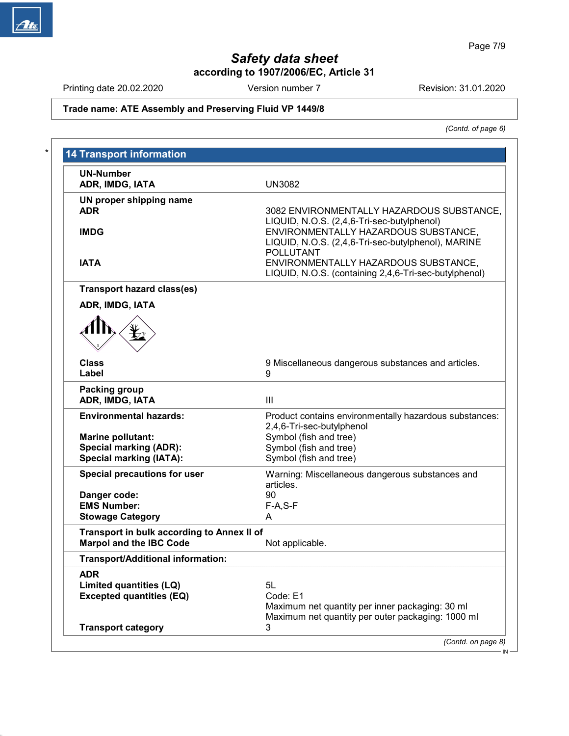Printing date 20.02.2020 Version number 7 Revision: 31.01.2020

# Trade name: ATE Assembly and Preserving Fluid VP 1449/8

(Contd. of page 6)

| <b>UN-Number</b>                                                             |                                                                                                                |
|------------------------------------------------------------------------------|----------------------------------------------------------------------------------------------------------------|
| ADR, IMDG, IATA                                                              | <b>UN3082</b>                                                                                                  |
| UN proper shipping name<br><b>ADR</b>                                        | 3082 ENVIRONMENTALLY HAZARDOUS SUBSTANCE,<br>LIQUID, N.O.S. (2,4,6-Tri-sec-butylphenol)                        |
| <b>IMDG</b>                                                                  | ENVIRONMENTALLY HAZARDOUS SUBSTANCE,<br>LIQUID, N.O.S. (2,4,6-Tri-sec-butylphenol), MARINE<br><b>POLLUTANT</b> |
| <b>IATA</b>                                                                  | ENVIRONMENTALLY HAZARDOUS SUBSTANCE,<br>LIQUID, N.O.S. (containing 2,4,6-Tri-sec-butylphenol)                  |
| <b>Transport hazard class(es)</b>                                            |                                                                                                                |
| ADR, IMDG, IATA                                                              |                                                                                                                |
|                                                                              |                                                                                                                |
| <b>Class</b>                                                                 | 9 Miscellaneous dangerous substances and articles.                                                             |
| Label                                                                        | 9                                                                                                              |
| <b>Packing group</b><br>ADR, IMDG, IATA                                      | III                                                                                                            |
| <b>Environmental hazards:</b>                                                | Product contains environmentally hazardous substances:<br>2,4,6-Tri-sec-butylphenol                            |
| <b>Marine pollutant:</b>                                                     | Symbol (fish and tree)                                                                                         |
| <b>Special marking (ADR):</b>                                                | Symbol (fish and tree)                                                                                         |
| <b>Special marking (IATA):</b>                                               | Symbol (fish and tree)                                                                                         |
| <b>Special precautions for user</b>                                          | Warning: Miscellaneous dangerous substances and<br>articles.                                                   |
| Danger code:                                                                 | 90                                                                                                             |
| <b>EMS Number:</b>                                                           | $F-A, S-F$                                                                                                     |
| <b>Stowage Category</b>                                                      | A                                                                                                              |
| Transport in bulk according to Annex II of<br><b>Marpol and the IBC Code</b> | Not applicable.                                                                                                |
| <b>Transport/Additional information:</b>                                     |                                                                                                                |
| <b>ADR</b>                                                                   |                                                                                                                |
| Limited quantities (LQ)                                                      | 5L                                                                                                             |
| <b>Excepted quantities (EQ)</b>                                              | Code: E1                                                                                                       |
| <b>Transport category</b>                                                    | Maximum net quantity per inner packaging: 30 ml<br>Maximum net quantity per outer packaging: 1000 ml<br>3      |
|                                                                              |                                                                                                                |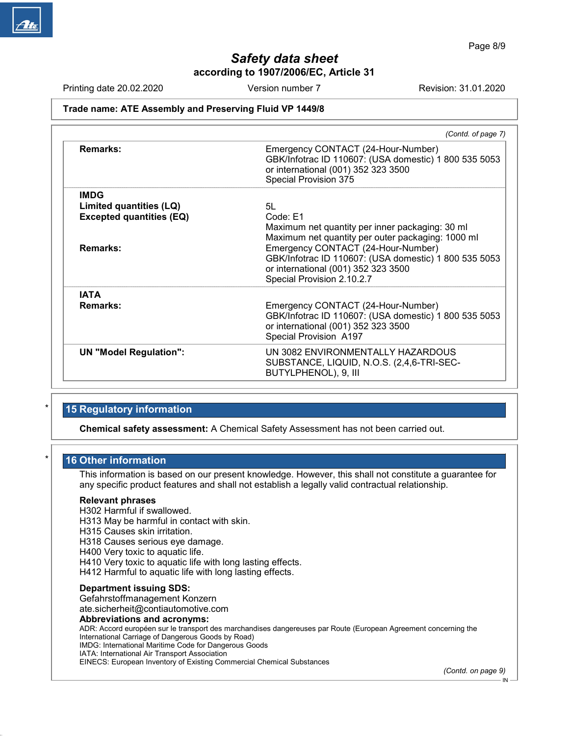Printing date 20.02.2020 **Revision: 31.01.2020** Version number 7 **Revision: 31.01.2020** 

## Trade name: ATE Assembly and Preserving Fluid VP 1449/8

|                                                                           | (Contd. of page 7)                                                                                                                                               |
|---------------------------------------------------------------------------|------------------------------------------------------------------------------------------------------------------------------------------------------------------|
| <b>Remarks:</b>                                                           | Emergency CONTACT (24-Hour-Number)<br>GBK/Infotrac ID 110607: (USA domestic) 1 800 535 5053<br>or international (001) 352 323 3500<br>Special Provision 375      |
| <b>IMDG</b><br>Limited quantities (LQ)<br><b>Excepted quantities (EQ)</b> | 5L<br>Code: E1<br>Maximum net quantity per inner packaging: 30 ml<br>Maximum net quantity per outer packaging: 1000 ml                                           |
| <b>Remarks:</b>                                                           | Emergency CONTACT (24-Hour-Number)<br>GBK/Infotrac ID 110607: (USA domestic) 1 800 535 5053<br>or international (001) 352 323 3500<br>Special Provision 2.10.2.7 |
| <b>IATA</b><br>Remarks:                                                   | Emergency CONTACT (24-Hour-Number)<br>GBK/Infotrac ID 110607: (USA domestic) 1 800 535 5053<br>or international (001) 352 323 3500<br>Special Provision A197     |
| <b>UN "Model Regulation":</b>                                             | UN 3082 ENVIRONMENTALLY HAZARDOUS<br>SUBSTANCE, LIQUID, N.O.S. (2,4,6-TRI-SEC-<br>BUTYLPHENOL), 9, III                                                           |

# 15 Regulatory information

Chemical safety assessment: A Chemical Safety Assessment has not been carried out.

# 16 Other information

This information is based on our present knowledge. However, this shall not constitute a guarantee for any specific product features and shall not establish a legally valid contractual relationship.

### Relevant phrases

H302 Harmful if swallowed.

H313 May be harmful in contact with skin.

H315 Causes skin irritation.

H318 Causes serious eye damage.

H400 Very toxic to aquatic life.

H410 Very toxic to aquatic life with long lasting effects.

H412 Harmful to aquatic life with long lasting effects.

### Department issuing SDS:

50.0.1

Gefahrstoffmanagement Konzern ate.sicherheit@contiautomotive.com

### Abbreviations and acronyms:

ADR: Accord européen sur le transport des marchandises dangereuses par Route (European Agreement concerning the International Carriage of Dangerous Goods by Road) IMDG: International Maritime Code for Dangerous Goods IATA: International Air Transport Association EINECS: European Inventory of Existing Commercial Chemical Substances

(Contd. on page 9)

IN